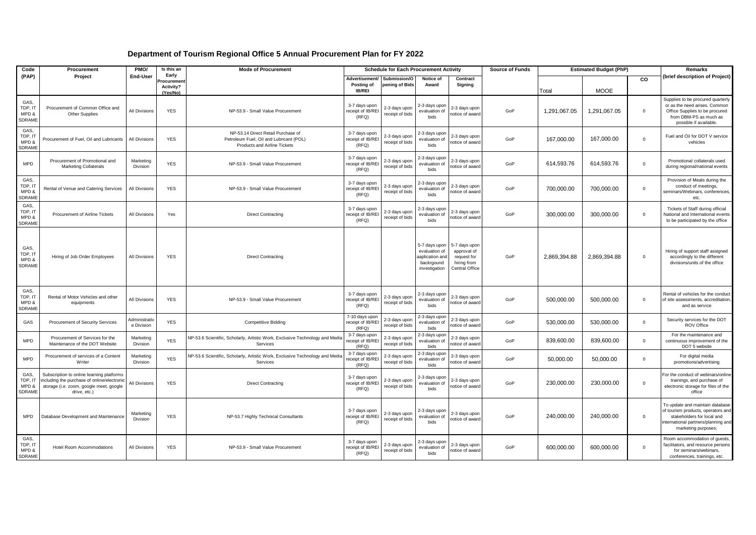| Code                                      | Procurement                                                                                                                                       | PMO/                        | Is this an                                  | <b>Mode of Procurement</b>                                                                                    | <b>Schedule for Each Procurement Activity</b> |                                  |                                                                                  |                                                                              | <b>Source of Funds</b> | <b>Estimated Budget (PhP)</b> |              |             | Remarks                                                                                                                                                          |
|-------------------------------------------|---------------------------------------------------------------------------------------------------------------------------------------------------|-----------------------------|---------------------------------------------|---------------------------------------------------------------------------------------------------------------|-----------------------------------------------|----------------------------------|----------------------------------------------------------------------------------|------------------------------------------------------------------------------|------------------------|-------------------------------|--------------|-------------|------------------------------------------------------------------------------------------------------------------------------------------------------------------|
| (PAP)                                     | Project                                                                                                                                           | End-User                    | Early<br>rocuremen<br>Activity?<br>(Yes/No) |                                                                                                               | Advertisement/<br>Posting of<br><b>IB/REI</b> | Submission/O<br>pening of Bids   | Notice of<br>Award                                                               | Contract<br>Signing                                                          |                        | Total                         | <b>MOOE</b>  | CO          | (brief description of Project)                                                                                                                                   |
| GAS.<br>TDP, IT<br>MPD &<br><b>SDRAME</b> | Procurement of Common Office and<br><b>Other Supplies</b>                                                                                         | All Divisions               | <b>YES</b>                                  | NP-53.9 - Small Value Procurement                                                                             | 3-7 days upon<br>receipt of IB/REI<br>(RFQ)   | 2-3 days upon<br>receipt of bids | 2-3 days upon<br>evaluation of<br>bids                                           | 2-3 days upon<br>notice of award                                             | GoP                    | 1,291,067.05                  | 1,291,067.05 | $\mathbf 0$ | Supplies to be procured quarterly<br>or as the need arises. Common<br>Office Supplies to be procured<br>from DBM-PS as much as<br>possible if available.         |
| GAS,<br>TDP, I'<br>MPD &<br><b>SDRAME</b> | Procurement of Fuel, Oil and Lubricants                                                                                                           | <b>All Divisions</b>        | <b>YES</b>                                  | NP-53.14 Direct Retail Purchase of<br>Petroleum Fuel, Oil and Lubricant (POL)<br>Products and Airline Tickets | 3-7 days upon<br>receipt of IB/REI<br>(RFO)   | 2-3 days upon<br>receipt of bids | 2-3 days upon<br>evaluation of<br>bids                                           | 2-3 days upon<br>notice of award                                             | GoP                    | 167,000.00                    | 167,000.00   | $\Omega$    | Fuel and Oil for DOT V service<br>vehicles                                                                                                                       |
| <b>MPD</b>                                | Procurement of Promotional and<br>Marketing Collaterals                                                                                           | Marketing<br>Division       | <b>YES</b>                                  | NP-53.9 - Small Value Procurement                                                                             | 3-7 days upon<br>receipt of IB/REI<br>(RFQ)   | 2-3 days upon<br>receipt of bids | 2-3 days upon<br>evaluation of<br>bids                                           | 2-3 days upon<br>notice of award                                             | GoP                    | 614,593.76                    | 614,593.76   | $\mathsf 0$ | Promotional collaterals used<br>during regional/national events                                                                                                  |
| GAS.<br>TDP, IT<br>MPD &<br><b>SDRAME</b> | Rental of Venue and Catering Services                                                                                                             | All Divisions               | <b>YES</b>                                  | NP-53.9 - Small Value Procurement                                                                             | 3-7 days upon<br>receipt of IB/REI<br>(RFO)   | 2-3 days upon<br>receipt of bids | 2-3 days upon<br>evaluation of<br>bids                                           | 2-3 days upon<br>notice of award                                             | GoP                    | 700,000.00                    | 700,000.00   | $\mathbf 0$ | Provision of Meals during the<br>conduct of meetings,<br>seminars/Webinars, conferences,<br>etc.                                                                 |
| GAS.<br>TDP, IT<br>MPD &<br><b>SDRAME</b> | Procurement of Airline Tickets                                                                                                                    | All Divisions               | Yes                                         | <b>Direct Contracting</b>                                                                                     | 3-7 days upon<br>receipt of IB/REI<br>(RFO)   | 2-3 days upon<br>receipt of bids | 2-3 days upon<br>evaluation of<br>bids                                           | 2-3 days upon<br>notice of award                                             | GoP                    | 300,000.00                    | 300,000.00   | $\mathbf 0$ | Tickets of Staff during official<br>National and International events<br>to be participated by the office                                                        |
| GAS.<br>TDP, IT<br>MPD &<br><b>SDRAME</b> | Hiring of Job Order Employees                                                                                                                     | All Divisions               | <b>YES</b>                                  | <b>Direct Contracting</b>                                                                                     |                                               |                                  | 5-7 days upon<br>evaluation of<br>aaplication and<br>backrgound<br>investigation | 5-7 days upon<br>approval of<br>request for<br>hiring from<br>Central Office | GoP                    | 2,869,394.88                  | 2,869,394.88 | $\mathbf 0$ | Hiring of support staff assigned<br>accordingly to the different<br>divisions/units of the office                                                                |
| GAS.<br>TDP.IT<br>MPD &<br><b>SDRAME</b>  | Rental of Motor Vehicles and other<br>equipments                                                                                                  | All Divisions               | <b>YES</b>                                  | NP-53.9 - Small Value Procurement                                                                             | 3-7 days upon<br>receipt of IB/REI<br>(RFQ)   | 2-3 days upon<br>receipt of bids | 2-3 days upon<br>evaluation of<br>bids                                           | 2-3 days upon<br>notice of award                                             | GoP                    | 500,000.00                    | 500.000.00   | $\mathbf 0$ | Rental of vehicles for the conduct<br>of site assessments, accreditation,<br>and as service                                                                      |
| GAS                                       | <b>Procurement of Security Services</b>                                                                                                           | Administrativ<br>e Division | <b>YES</b>                                  | <b>Competitive Bidding</b>                                                                                    | 7-10 days upon<br>receipt of IB/REI<br>(RFO)  | 2-3 days upor<br>receipt of bids | 2-3 days upon<br>evaluation of<br>bids                                           | 2-3 days upon<br>otice of award                                              | GoP                    | 530,000.00                    | 530.000.00   | $\Omega$    | Security services for the DOT<br><b>ROV Office</b>                                                                                                               |
| <b>MPD</b>                                | Procurement of Services for the<br>Maintenance of the DOT Website                                                                                 | Marketing<br>Division       | <b>YES</b>                                  | NP-53.6 Scientific, Scholarly, Artistic Work, Exclusive Technology and Media<br>Services                      | 3-7 days upon<br>eceipt of IB/REI<br>(RFQ)    | 2-3 days upor<br>receipt of bids | 2-3 days upon<br>evaluation of<br>bids                                           | 2-3 days upon<br>otice of award                                              | GoP                    | 839,600.00                    | 839,600.00   | $\mathbf 0$ | For the maintenance and<br>continuous improvement of the<br>DOT 5 website                                                                                        |
| <b>MPD</b>                                | Procurement of services of a Content<br>Writer                                                                                                    | Marketing<br>Division       | <b>YES</b>                                  | NP-53.6 Scientific, Scholarly, Artistic Work, Exclusive Technology and Media<br>Services                      | 3-7 days upon<br>receipt of IB/REI<br>(RFQ)   | 2-3 days upon<br>receipt of bids | 2-3 days upor<br>evaluation of<br>bids                                           | 2-3 days upon<br>notice of awar                                              | GoP                    | 50,000.00                     | 50,000.00    | $\mathbf 0$ | For digital media<br>promotions/advertising                                                                                                                      |
| GAS.<br>TDP, IT<br>MPD &<br><b>SDRAME</b> | Subscription to online learning platforms<br>ncluding the purchase of online/electroni<br>storage (i.e. zoom, google meet, google<br>drive, etc.) | All Divisions               | <b>YES</b>                                  | <b>Direct Contracting</b>                                                                                     | 3-7 days upon<br>receipt of IB/REI<br>(RFO)   | 2-3 days upon<br>receipt of bids | 2-3 days upon<br>evaluation of<br>bids                                           | 2-3 days upon<br>notice of award                                             | GoP                    | 230,000.00                    | 230,000.00   | $\mathbf 0$ | For the conduct of webinars/online<br>trainings, and purchase of<br>electronic storage for files of the<br>office                                                |
| <b>MPD</b>                                | Database Development and Maintenance                                                                                                              | Marketing<br>Division       | <b>YES</b>                                  | NP-53.7 Highly Technical Consultants                                                                          | 3-7 days upon<br>receipt of IB/REI<br>(RFQ)   | 2-3 days upon<br>receipt of bids | 2-3 days upon<br>evaluation of<br>bids                                           | 2-3 days upon<br>notice of award                                             | GoP                    | 240,000.00                    | 240,000.00   | $\Omega$    | To update and maintain database<br>of tourism products, operators and<br>stakeholders for local and<br>nternational partners/planning and<br>marketing purposes; |
| GAS.<br>TDP, IT<br>MPD &<br>SDRAME        | <b>Hotel Room Accommodations</b>                                                                                                                  | <b>All Divisions</b>        | <b>YES</b>                                  | NP-53.9 - Small Value Procurement                                                                             | 3-7 days upon<br>receipt of IB/REI<br>(RFQ)   | 2-3 days upon<br>receipt of bids | 2-3 days upon<br>evaluation of<br>bids                                           | 2-3 days upon<br>notice of award                                             | GoP                    | 600,000.00                    | 600,000.00   | $\Omega$    | Room accommodation of quests.<br>facilitators, and resource persons<br>for seminars/webinars,<br>conferences, trainings, etc.                                    |

## **Department of Tourism Regional Office 5 Annual Procurement Plan for FY 2022**